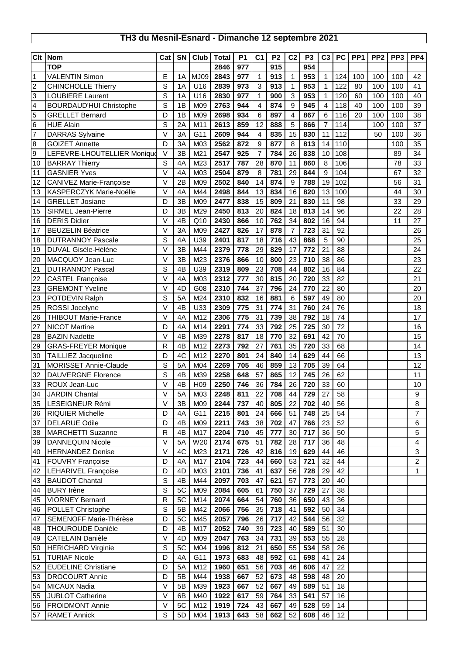## **TH3 du Mesnil-Esnard - Dimanche 12 septembre 2021**

| Clt            | Nom                            | Cat            | <b>SN</b>      | Club            | <b>Total</b> | <b>P1</b> | C <sub>1</sub>   | P <sub>2</sub> | C <sub>2</sub> | P <sub>3</sub> | C <sub>3</sub> | <b>PC</b> | PP <sub>1</sub> | PP <sub>2</sub> | PP <sub>3</sub> | PP4            |
|----------------|--------------------------------|----------------|----------------|-----------------|--------------|-----------|------------------|----------------|----------------|----------------|----------------|-----------|-----------------|-----------------|-----------------|----------------|
|                | <b>TOP</b>                     |                |                |                 | 2846         | 977       |                  | 915            |                | 954            |                |           |                 |                 |                 |                |
| $\mathbf{1}$   | <b>VALENTIN Simon</b>          | Е              | 1A             | MJ09            | 2843         | 977       | $\mathbf{1}$     | 913            | 1              | 953            | 1              | 124       | 100             | 100             | 100             | 42             |
| $\overline{c}$ | <b>CHINCHOLLE Thierry</b>      | S              | 1A             | U16             | 2839         | 973       | 3                | 913            | 1              | 953            | $\mathbf{1}$   | 122       | 80              | 100             | 100             | 41             |
| 3              | <b>LOUBIERE Laurent</b>        | S              | 1A             | U16             | 2830         | 977       | $\mathbf{1}$     | 900            | 3              | 953            | $\mathbf{1}$   | 120       | 60              | 100             | 100             | 40             |
| 4              | <b>BOURDAUD'HUI Christophe</b> | S              | 1B             | M09             | 2763         | 944       | 4                | 874            | 9              | 945            | $\overline{4}$ | 118       | 40              | 100             | 100             | 39             |
|                |                                |                | 1B             |                 |              |           | 6                |                | 4              |                | 6              |           | 20              | 100             | 100             | 38             |
| 5              | <b>GRELLET Bernard</b>         | D              |                | M09             | 2698         | 934       |                  | 897            |                | 867            |                | 116       |                 |                 |                 |                |
| 6              | <b>HUE Alain</b>               | S              | 2A             | M11             | 2613         | 859       | 12               | 888            | 5              | 866            | $\overline{7}$ | 114       |                 | 100             | 100             | 37             |
| $\overline{7}$ | <b>DARRAS</b> Sylvaine         | $\vee$         | 3A             | G11             | 2609         | 944       | $\overline{4}$   | 835            | 15             | 830            | 11             | 112       |                 | 50              | 100             | 36             |
| 8              | <b>GOIZET Annette</b>          | D              | 3A             | M03             | 2562         | 872       | $\boldsymbol{9}$ | 877            | 8              | 813            | 14             | 110       |                 |                 | 100             | 35             |
| 9              | LEFEVRE-LHOUTELLIER Monique    | $\vee$         | 3B             | M21             | 2547         | 925       | $\overline{7}$   | 784            | 26             | 838            | 10             | 108       |                 |                 | 89              | 34             |
| 10             | <b>BARRAY Thierry</b>          | S              | 4A             | M23             | 2517         | 787       | 28               | 870            | 11             | 860            | 8              | 106       |                 |                 | 78              | 33             |
| 11             | <b>GASNIER Yves</b>            | $\vee$         | 4A             | M03             | 2504         | 879       | 8                | 781            | 29             | 844            | 9              | 104       |                 |                 | 67              | 32             |
| 12             | CANIVEZ Marie-Françoise        | $\vee$         | 2B             | M09             | 2502         | 840       | 14               | 874            | 9              | 788            | 19             | 102       |                 |                 | 56              | 31             |
| 13             | KASPERCZYK Marie-Noëlle        | $\vee$         | 4A             | M44             | 2498         | 844       | 13               | 834            | 16             | 820            | 13             | 100       |                 |                 | 44              | 30             |
| 14             | <b>GRELLET Josiane</b>         | D              | 3B             | M09             | 2477         | 838       | 15               | 809            | 21             | 830            | 11             | 98        |                 |                 | 33              | 29             |
| 15             | <b>SIRMEL Jean-Pierre</b>      | D              | 3B             | M29             | 2450         | 813       | 20               | 824            | 18             | 813            | 14             | 96        |                 |                 | 22              | 28             |
| 16             | <b>DERIS Didier</b>            | $\vee$         | 4B             | Q10             | 2430         | 866       | 10               | 762            | 34             | 802            | 16             | 94        |                 |                 | 11              | 27             |
| 17             | <b>BEUZELIN Béatrice</b>       | $\vee$         | 3A             | M09             | 2427         | 826       | 17               | 878            | $\overline{7}$ | 723            | 31             | 92        |                 |                 |                 | 26             |
| 18             | <b>DUTRANNOY Pascale</b>       | S              | 4A             | U39             | 2401         | 817       | 18               | 716            | 43             | 868            | 5              | 90        |                 |                 |                 | 25             |
| 19             | DUVAL Gisèle-Hélène            | $\vee$         | 3B             | M44             | 2379         | 778       | 29               | 829            | 17             | 772            | 21             | 88        |                 |                 |                 | 24             |
| 20             | MACQUOY Jean-Luc               | $\overline{V}$ | 3B             | M23             | 2376         | 866       | 10               | 800            | 23             | 710            | 38             | 86        |                 |                 |                 | 23             |
| 21             | <b>DUTRANNOY Pascal</b>        | S              | 4 <sub>B</sub> | U39             | 2319         | 809       | 23               | 708            | 44             | 802            | 16             | 84        |                 |                 |                 | 22             |
| 22             | <b>CASTEL Françoise</b>        | $\vee$         | 4A             | M03             | 2312         | 777       | 30               | 815            | 20             | 720            | 33             | 82        |                 |                 |                 | 21             |
| 23             | <b>GREMONT Yveline</b>         | V              | 4D             | G08             | 2310         | 744       | 37               | 796            | 24             | 770            | 22             | 80        |                 |                 |                 | 20             |
| 23             | POTDEVIN Ralph                 | S              | 5A             | M24             | 2310         | 832       | 16               | 881            | 6              | 597            | 49             | 80        |                 |                 |                 | 20             |
| 25             | <b>ROSSI Jocelyne</b>          | $\vee$         | 4B             | U33             | 2309         | 775       | 31               | 774            | 31             | 760            | 24             | 76        |                 |                 |                 | 18             |
| 26             | <b>THIBOUT Marie-France</b>    | $\vee$         | 4A             | M12             | 2306         | 775       | 31               | 739            | 38             | 792            | 18             | 74        |                 |                 |                 | 17             |
| 27             | <b>NICOT Martine</b>           | D              | 4A             | M14             | 2291         | 774       | 33               | 792            | 25             | 725            | 30             | 72        |                 |                 |                 | 16             |
| 28             | <b>BAZIN Nadette</b>           | $\vee$         | 4B             | M39             | 2278         | 817       | 18               | 770            | 32             | 691            | 42             | 70        |                 |                 |                 | 15             |
| 29             | <b>GRAS-FREYER Monique</b>     | R              | 4B             | M12             | 2273         | 792       | 27               | 761            | 35             | 720            | 33             | 68        |                 |                 |                 | 14             |
| 30             | <b>TAILLIEZ Jacqueline</b>     | D              | 4C             | M12             | 2270         | 801       | 24               | 840            | 14             | 629            | 44             | 66        |                 |                 |                 | 13             |
| 31             | <b>MORISSET Annie-Claude</b>   | S              | 5A             | M04             | 2269         | 705       | 46               | 859            | 13             | 705            | 39             | 64        |                 |                 |                 | 12             |
| 32             | <b>DAUVERGNE Florence</b>      | S              | 4B             | M39             | 2258         | 648       | 57               | 865            | 12             | 745            | 26             | 62        |                 |                 |                 | 11             |
| 33             | ROUX Jean-Luc                  | $\vee$         | 4B             | H <sub>09</sub> | 2250         | 746       | 36               | 784            | 26             | 720            | 33             | 60        |                 |                 |                 | 10             |
| 34             | <b>JARDIN Chantal</b>          | $\vee$         | 5A             | M03             | 2248         | 811       | 22               | 708            | 44             | 729            | 27             | 58        |                 |                 |                 | 9              |
| 35             | LESEIGNEUR Rémi                | V              | 3B             | M09             | 2244         | 737       | 40               | 805            | 22             | 702            | 40             | 56        |                 |                 |                 | 8              |
| 36             | <b>RIQUIER Michelle</b>        | D              | 4A             | G11             | 2215         | 801       | 24               | 666            | 51             | 748            | 25             | 54        |                 |                 |                 | $\overline{7}$ |
| 37             | <b>DELARUE Odile</b>           | D              | 4B             | M09             | 2211         | 743       | 38               | 702            | 47             | 766            | 23             | 52        |                 |                 |                 | 6              |
| 38             | <b>MARCHETTI Suzanne</b>       | R              | 4B             | M17             | 2204         | 710       | 45               | 777            | 30             | 717            | 36             | 50        |                 |                 |                 | 5              |
| 39             | <b>DANNEQUIN Nicole</b>        | $\vee$         | 5A             | W20             | 2174         | 675       | 51               | 782            | 28             | 717            | 36             | 48        |                 |                 |                 | $\overline{4}$ |
| 40             | <b>HERNANDEZ Denise</b>        | $\vee$         | 4C             | M23             | 2171         | 726       | 42               | 816            | 19             | 629            | 44             | 46        |                 |                 |                 | 3              |
| 41             | <b>FOUVRY Françoise</b>        | D              | 4A             | M17             | 2104         | 723       | 44               | 660            | 53             | 721            | 32             | 44        |                 |                 |                 | $\overline{2}$ |
| 42             | LEHARIVEL Françoise            | D              | 4D             | M03             | 2101         | 736       | 41               | 637            | 56             | 728            | 29             | 42        |                 |                 |                 | 1              |
| 43             | <b>BAUDOT Chantal</b>          | S              | 4B             | M44             | 2097         | 703       | 47               | 621            | 57             | 773            | 20             | 40        |                 |                 |                 |                |
| 44             | <b>BURY</b> Irène              | S              | 5C             | M09             | 2084         | 605       | 61               | 750            | 37             | 729            | 27             | 38        |                 |                 |                 |                |
| 45             | <b>VIORNEY Bernard</b>         | R              | 5C             | M14             | 2074         | 664       | 54               | 760            | 36             | 650            | 43             | 36        |                 |                 |                 |                |
| 46             | <b>POLLET Christophe</b>       | S              | 5B             | M42             | 2066         | 756       | 35               | 718            | 41             | 592            | 50             | 34        |                 |                 |                 |                |
| 47             | SEMENOFF Marie-Thérèse         | D              | 5C             | M45             | 2057         | 796       | 26               | 717            | 42             | 544            | 56             | 32        |                 |                 |                 |                |
| 48             | THOUROUDE Danièle              | D              | 4B             | M17             | 2052         | 740       | 39               | 723            | 40             | 589            | 51             | 30        |                 |                 |                 |                |
| 49             | <b>CATELAIN Danièle</b>        | $\vee$         | 4D             | M09             | 2047         | 763       | 34               | 731            | 39             | 553            | 55             | 28        |                 |                 |                 |                |
| 50             | <b>HERICHARD Virginie</b>      | S              | 5C             | M <sub>04</sub> | 1996         | 812       | 21               | 650            | 55             | 534            | 58             | 26        |                 |                 |                 |                |
| 51             | <b>TURIAF Nicole</b>           | D              | 4A             | G11             | 1973         | 683       | 48               | 592            | 61             | 698            | 41             | 24        |                 |                 |                 |                |
| 52             | <b>EUDELINE Christiane</b>     | D              | 5A             | M12             | 1960         | 651       | 56               | 703            | 46             | 606            | 47             | 22        |                 |                 |                 |                |
| 53             | <b>DROCOURT Annie</b>          | D              | 5B             | M44             | 1938         | 667       | 52               | 673            | 48             | 598            | 48             | 20        |                 |                 |                 |                |
| 54             | MICAUX Nadia                   | $\vee$         | 5B             | M39             | 1923         | 667       | 52               | 667            | 49             | 589            | 51             | 18        |                 |                 |                 |                |
| 55             | JUBLOT Catherine               | V              | 6B             | M40             | 1922         | 617       | 59               | 764            | 33             | 541            | 57             | 16        |                 |                 |                 |                |
| 56             | <b>FROIDMONT Annie</b>         | $\vee$         | 5C             | M12             | 1919         | 724       | 43               | 667            | 49             | 528            | 59             | 14        |                 |                 |                 |                |
| 57             | <b>RAMET Annick</b>            | S              | 5D             | M04             | 1913         | 643       | 58               | 662            | 52             | 608            | 46             | 12        |                 |                 |                 |                |
|                |                                |                |                |                 |              |           |                  |                |                |                |                |           |                 |                 |                 |                |